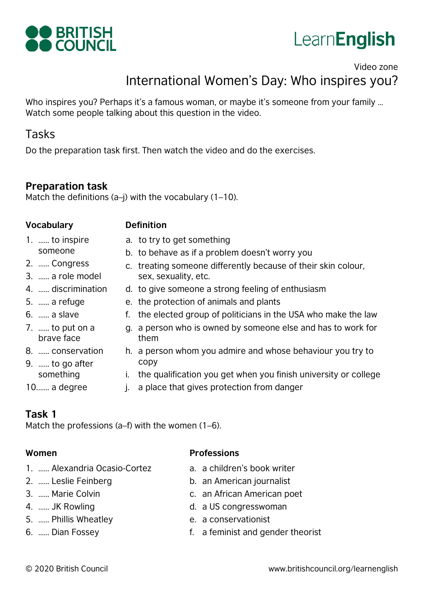



# Video zone International Women's Day: Who inspires you?

Who inspires you? Perhaps it's a famous woman, or maybe it's someone from your family ... Watch some people talking about this question in the video.

# Tasks

Do the preparation task first. Then watch the video and do the exercises.

sex, sexuality, etc.

## **Preparation task**

Match the definitions  $(a-j)$  with the vocabulary  $(1-10)$ .

### **Vocabulary Definition**

- someone 1. …… to inspire a. to try to get something
- 2. …… Congress
- 3. …… a role model
- 4. …… discrimination
- 5. …… a refuge
- 6. …… a slave
- 7. …… to put on a brave face
- 8. …… conservation
- 9. …… to go after something
- e. the protection of animals and plants f. the elected group of politicians in the USA who make the law

d. to give someone a strong feeling of enthusiasm

c. treating someone differently because of their skin colour,

b. to behave as if a problem doesn't worry you

- g. a person who is owned by someone else and has to work for them
- h. a person whom you admire and whose behaviour you try to copy
- i. the qualification you get when you finish university or college
- 10.…… a degree j. a place that gives protection from danger

## **Task 1**

Match the professions (a–f) with the women (1–6).

- 1. …… Alexandria Ocasio-Cortez
- 2. …… Leslie Feinberg
- 3. …… Marie Colvin
- 4. …… JK Rowling
- 5. …… Phillis Wheatley
- 6. …… Dian Fossey
- **Women Professions**
	- a. a children's book writer
	- b. an American journalist
	- c. an African American poet
	- d. a US congresswoman
	- e. a conservationist
	- f. a feminist and gender theorist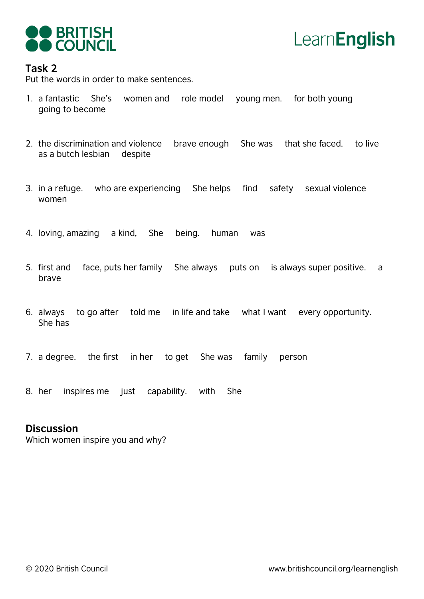



#### **Task 2**

Put the words in order to make sentences.

- 1. a fantastic She's women and role model young men. for both young going to become
- 2. the discrimination and violence brave enough She was that she faced. to live as a butch lesbian despite
- 3. in a refuge. who are experiencing She helps find safety sexual violence women
- 4. loving, amazing a kind, She being. human was
- 5. first and face, puts her family She always puts on is always super positive. a brave
- 6. always to go after told me in life and take what I want every opportunity. She has
- 7. a degree. the first in her to get She was family person
- 8. her inspires me just capability. with She

#### **Discussion**

Which women inspire you and why?